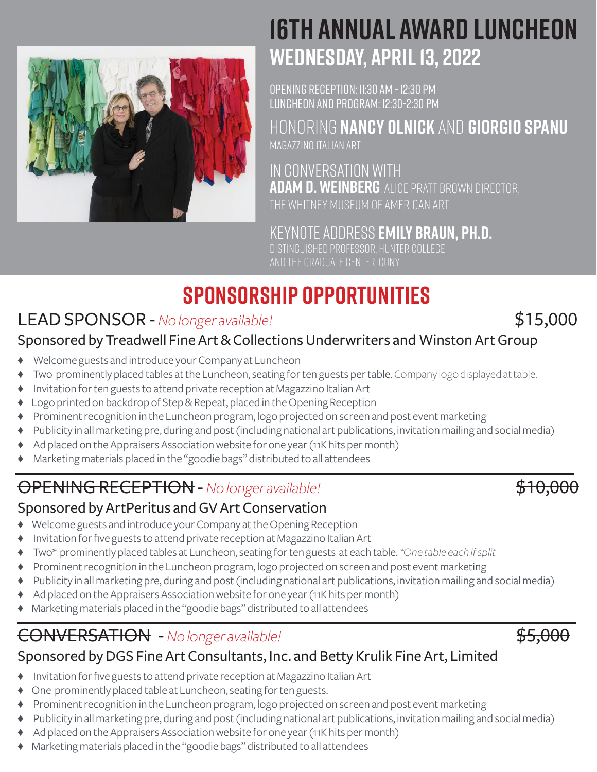

# **16TH ANNUAL AWARD LUNCHEON WEDNESDAY, APRIL 13, 2022**

OPENING RECEPTION: 11:30 AM - 12:30 PM LUNCHEON AND PROGRAM: 12:30-2:30 PM

HONORING **NANCY OLNICK** AND **GIORGIO SPANU** MAGAZZINO ITALIAN ART

IN CONVERSATION WITH **Adam D. Weinberg**, Alice Pratt Brown Director, the Whitney Museum of American Art

keynote address **EMILY BRAUN, PH.D.** DISTINGUISHED PROFESSOR, HUNTER COLLEGE AND THE GRADUATE CENTER, CUNY

# **SPONSORSHIP OPPORTUNITIES**

# LEAD SPONSOR - *No longer available!* **1999** 2009 2015,000

### Sponsored by Treadwell Fine Art & Collections Underwriters and Winston Art Group

- Welcome guests and introduce your Company at Luncheon
- ♦ Two prominently placed tables at the Luncheon, seating for ten guests per table. Company logo displayed at table.
- ♦ Invitation for ten guests to attend private reception at Magazzino Italian Art
- Logo printed on backdrop of Step & Repeat, placed in the Opening Reception
- Brominent recognition in the Luncheon program, logo projected on screen and post event marketing
- Publicity in all marketing pre, during and post (including national art publications, invitation mailing and social media)
- Ad placed on the Appraisers Association website for one year (11K hits per month)
- Marketing materials placed in the "goodie bags" distributed to all attendees

# **OPENING RECEPTION -** *No longer available!*  $$10,000$

### Sponsored by ArtPeritus and GV Art Conservation

- ♦ Welcome guests and introduce your Company at the Opening Reception
- Invitation for five guests to attend private reception at Magazzino Italian Art
- ♦ Two\* prominently placed tables at Luncheon, seating for ten guests at each table. *\*One table each if split*
- Brominent recognition in the Luncheon program, logo projected on screen and post event marketing
- Publicity in all marketing pre, during and post (including national art publications, invitation mailing and social media)
- Ad placed on the Appraisers Association website for one year (11K hits per month)
- Marketing materials placed in the "goodie bags" distributed to all attendees

# CONVERSATION - No longer available! **\$5,000**



- Invitation for five guests to attend private reception at Magazzino Italian Art
- One prominently placed table at Luncheon, seating for ten guests.
- Prominent recognition in the Luncheon program, logo projected on screen and post event marketing
- Bublicity in all marketing pre, during and post (including national art publications, invitation mailing and social media)
- Ad placed on the Appraisers Association website for one year (11K hits per month)
- ♦ Marketing materials placed in the "goodie bags" distributed to all attendees

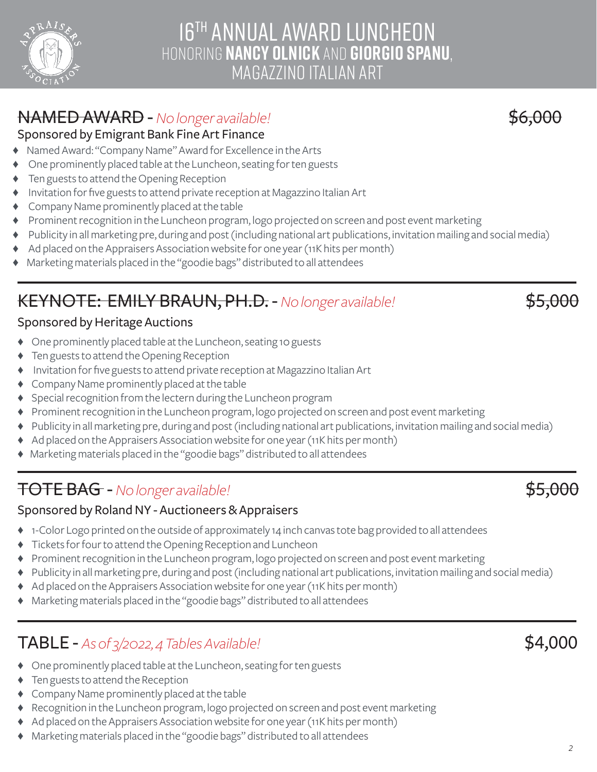## 16TH ANNUAL AWARD LUNCHEON HONORING **NANCY OLNICK** AND **GIORGIO SPANU**, MAGAZZINO ITALIAN ART

## **NAMED AWARD -** *No longer available!*  $$6,000$

#### Sponsored by Emigrant Bank Fine Art Finance

- Named Award: "Company Name" Award for Excellence in the Arts
- One prominently placed table at the Luncheon, seating for ten guests
- Ten guests to attend the Opening Reception
- ♦ Invitation for five guests to attend private reception at Magazzino Italian Art
- ♦ Company Name prominently placed at the table
- ♦ Prominent recognition in the Luncheon program, logo projected on screen and post event marketing
- ♦ Publicity in all marketing pre, during and post (including national art publications, invitation mailing and social media)
- ♦ Ad placed on the Appraisers Association website for one year (11K hits per month)
- ♦ Marketing materials placed in the "goodie bags" distributed to all attendees

# KEYNOTE: EMILY BRAUN, PH.D. - *No longer available!* \$5,000

### Sponsored by Heritage Auctions

- ♦ One prominently placed table at the Luncheon, seating 10 guests
- ♦ Ten guests to attend the Opening Reception
- Invitation for five guests to attend private reception at Magazzino Italian Art
- ♦ Company Name prominently placed at the table
- Special recognition from the lectern during the Luncheon program
- ♦ Prominent recognition in the Luncheon program, logo projected on screen and post event marketing
- ♦ Publicity in all marketing pre, during and post (including national art publications, invitation mailing and social media)
- ♦ Ad placed on the Appraisers Association website for one year (11K hits per month)
- ♦ Marketing materials placed in the "goodie bags" distributed to all attendees

## TOTE BAG - *No longer available!* And the set of the set of the set of the set of the set of the set of the set of the set of the set of the set of the set of the set of the set of the set of the set of the set of the set

#### Sponsored by Roland NY - Auctioneers & Appraisers

- ♦ 1-Color Logo printed on the outside of approximately 14 inch canvas tote bag provided to all attendees
- ♦ Tickets for four to attend the Opening Reception and Luncheon
- ♦ Prominent recognition in the Luncheon program, logo projected on screen and post event marketing
- ♦ Publicity in all marketing pre, during and post (including national art publications, invitation mailing and social media)
- ♦ Ad placed on the Appraisers Association website for one year (11K hits per month)
- ♦ Marketing materials placed in the "goodie bags" distributed to all attendees

## TABLE - *As of 3/2022, 4 Tables Available!* \$4,000

- ♦ One prominently placed table at the Luncheon, seating for ten guests
- ♦ Ten guests to attend the Reception
- ♦ Company Name prominently placed at the table
- ♦ Recognition in the Luncheon program, logo projected on screen and post event marketing
- $\blacklozenge$  Ad placed on the Appraisers Association website for one year (11K hits per month)
- ♦ Marketing materials placed in the "goodie bags" distributed to all attendees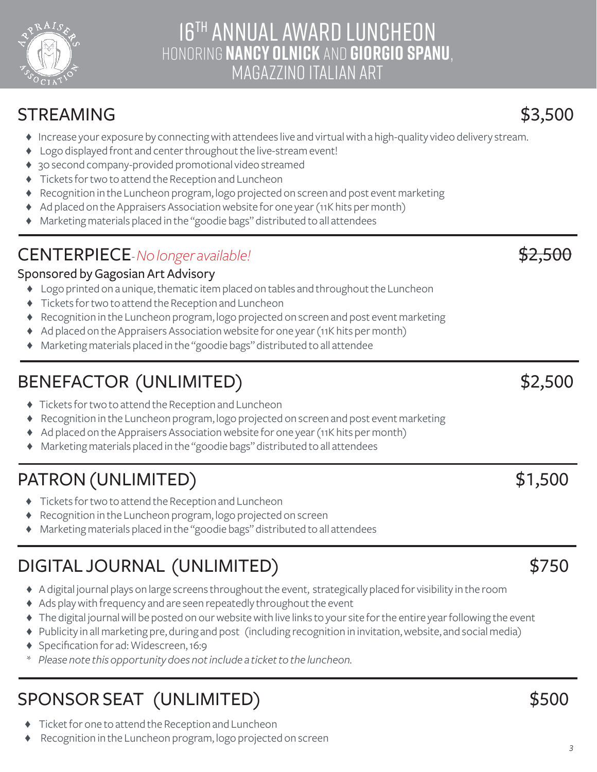

## 16TH ANNUAL AWARD LUNCHEON HONORING **NANCY OLNICK** AND **GIORGIO SPANU**, MAGAZZINO ITALIAN ART

## STREAMING \$3,500

- ♦ Increase your exposure by connecting with attendees live and virtual with a high-quality video delivery stream.
- ♦ Logo displayed front and center throughout the live-stream event!
- 30 second company-provided promotional video streamed
- Tickets for two to attend the Reception and Luncheon
- Recognition in the Luncheon program, logo projected on screen and post event marketing
- Ad placed on the Appraisers Association website for one year (11K hits per month)
- ♦ Marketing materials placed in the "goodie bags" distributed to all attendees

# CENTERPIECE- No longer available! **All and State and State and State and State and State and State and State and State and State and State and State and State and State and State and State and State and State and State and**

### Sponsored by Gagosian Art Advisory

- ♦ Logo printed on a unique, thematic item placed on tables and throughout the Luncheon
- ♦ Tickets for two to attend the Reception and Luncheon
- ♦ Recognition in the Luncheon program, logo projected on screen and post event marketing
- ♦ Ad placed on the Appraisers Association website for one year (11K hits per month)
- ♦ Marketing materials placed in the "goodie bags" distributed to all attendee

# BENEFACTOR (UNLIMITED) \$2,500

- ♦ Tickets for two to attend the Reception and Luncheon
- ♦ Recognition in the Luncheon program, logo projected on screen and post event marketing
- ♦ Ad placed on the Appraisers Association website for one year (11K hits per month)
- ♦ Marketing materials placed in the "goodie bags" distributed to all attendees

# PATRON (UNLIMITED) \$1,500

- ♦ Tickets for two to attend the Reception and Luncheon
- Recognition in the Luncheon program, logo projected on screen
- Marketing materials placed in the "goodie bags" distributed to all attendees

# DIGITAL JOURNAL (UNLIMITED) \$750

- ♦ A digital journal plays on large screens throughout the event, strategically placed for visibility in the room
- ♦ Ads play with frequency and are seen repeatedly throughout the event
- ♦ The digital journal will be posted on our website with live links to your site for the entire year following the event
- ♦ Publicity in all marketing pre, during and post (including recognition in invitation, website, and social media)
- ♦ Specification for ad: Widescreen, 16:9
- *\* Please note this opportunity does not include a ticket to the luncheon.*

# SPONSOR SEAT (UNLIMITED) \$500

- ♦ Ticket for one to attend the Reception and Luncheon
- Recognition in the Luncheon program, logo projected on screen